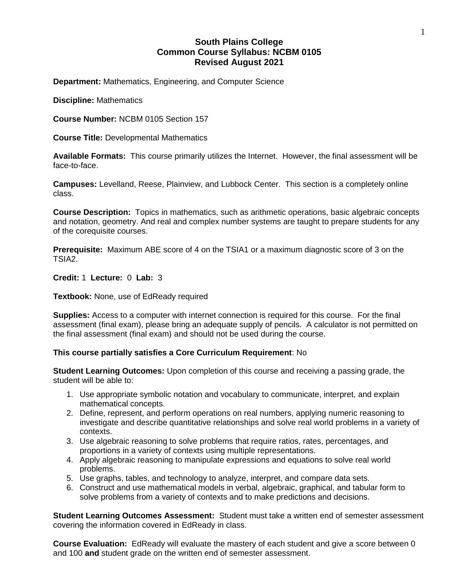# **South Plains College Common Course Syllabus: NCBM 0105 Revised August 2021**

**Department:** Mathematics, Engineering, and Computer Science

**Discipline:** Mathematics

**Course Number:** NCBM 0105 Section 157

**Course Title:** Developmental Mathematics

**Available Formats:** This course primarily utilizes the Internet. However, the final assessment will be face-to-face.

**Campuses:** Levelland, Reese, Plainview, and Lubbock Center. This section is a completely online class.

**Course Description:** Topics in mathematics, such as arithmetic operations, basic algebraic concepts and notation, geometry. And real and complex number systems are taught to prepare students for any of the corequisite courses.

**Prerequisite:** Maximum ABE score of 4 on the TSIA1 or a maximum diagnostic score of 3 on the TSIA2.

**Credit:** 1 **Lecture:** 0 **Lab:** 3

**Textbook:** None, use of EdReady required

**Supplies:** Access to a computer with internet connection is required for this course. For the final assessment (final exam), please bring an adequate supply of pencils. A calculator is not permitted on the final assessment (final exam) and should not be used during the course.

**This course partially satisfies a Core Curriculum Requirement**: No

**Student Learning Outcomes:** Upon completion of this course and receiving a passing grade, the student will be able to:

- 1. Use appropriate symbolic notation and vocabulary to communicate, interpret, and explain mathematical concepts.
- 2. Define, represent, and perform operations on real numbers, applying numeric reasoning to investigate and describe quantitative relationships and solve real world problems in a variety of contexts.
- 3. Use algebraic reasoning to solve problems that require ratios, rates, percentages, and proportions in a variety of contexts using multiple representations.
- 4. Apply algebraic reasoning to manipulate expressions and equations to solve real world problems.
- 5. Use graphs, tables, and technology to analyze, interpret, and compare data sets.
- 6. Construct and use mathematical models in verbal, algebraic, graphical, and tabular form to solve problems from a variety of contexts and to make predictions and decisions.

**Student Learning Outcomes Assessment:** Student must take a written end of semester assessment covering the information covered in EdReady in class.

**Course Evaluation:** EdReady will evaluate the mastery of each student and give a score between 0 and 100 **and** student grade on the written end of semester assessment.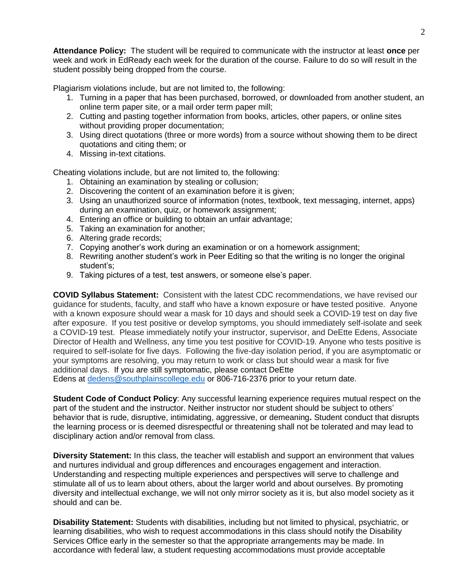**Attendance Policy:** The student will be required to communicate with the instructor at least **once** per week and work in EdReady each week for the duration of the course. Failure to do so will result in the student possibly being dropped from the course.

Plagiarism violations include, but are not limited to, the following:

- 1. Turning in a paper that has been purchased, borrowed, or downloaded from another student, an online term paper site, or a mail order term paper mill;
- 2. Cutting and pasting together information from books, articles, other papers, or online sites without providing proper documentation;
- 3. Using direct quotations (three or more words) from a source without showing them to be direct quotations and citing them; or
- 4. Missing in-text citations.

Cheating violations include, but are not limited to, the following:

- 1. Obtaining an examination by stealing or collusion;
- 2. Discovering the content of an examination before it is given;
- 3. Using an unauthorized source of information (notes, textbook, text messaging, internet, apps) during an examination, quiz, or homework assignment;
- 4. Entering an office or building to obtain an unfair advantage;
- 5. Taking an examination for another;
- 6. Altering grade records;
- 7. Copying another's work during an examination or on a homework assignment;
- 8. Rewriting another student's work in Peer Editing so that the writing is no longer the original student's;
- 9. Taking pictures of a test, test answers, or someone else's paper.

**COVID Syllabus Statement:** Consistent with the latest CDC recommendations, we have revised our guidance for students, faculty, and staff who have a known exposure or have tested positive. Anyone with a known exposure should wear a mask for 10 days and should seek a COVID-19 test on day five after exposure. If you test positive or develop symptoms, you should immediately self-isolate and seek a COVID-19 test. Please immediately notify your instructor, supervisor, and DeEtte Edens, Associate Director of Health and Wellness, any time you test positive for COVID-19. Anyone who tests positive is required to self-isolate for five days. Following the five-day isolation period, if you are asymptomatic or your symptoms are resolving, you may return to work or class but should wear a mask for five additional days. If you are still symptomatic, please contact DeEtte Edens at [dedens@southplainscollege.edu](mailto:dedens@southplainscollege.edu) or 806-716-2376 prior to your return date.

**Student Code of Conduct Policy**: Any successful learning experience requires mutual respect on the part of the student and the instructor. Neither instructor nor student should be subject to others' behavior that is rude, disruptive, intimidating, aggressive, or demeaning**.** Student conduct that disrupts the learning process or is deemed disrespectful or threatening shall not be tolerated and may lead to disciplinary action and/or removal from class.

**Diversity Statement:** In this class, the teacher will establish and support an environment that values and nurtures individual and group differences and encourages engagement and interaction. Understanding and respecting multiple experiences and perspectives will serve to challenge and stimulate all of us to learn about others, about the larger world and about ourselves. By promoting diversity and intellectual exchange, we will not only mirror society as it is, but also model society as it should and can be.

**Disability Statement:** Students with disabilities, including but not limited to physical, psychiatric, or learning disabilities, who wish to request accommodations in this class should notify the Disability Services Office early in the semester so that the appropriate arrangements may be made. In accordance with federal law, a student requesting accommodations must provide acceptable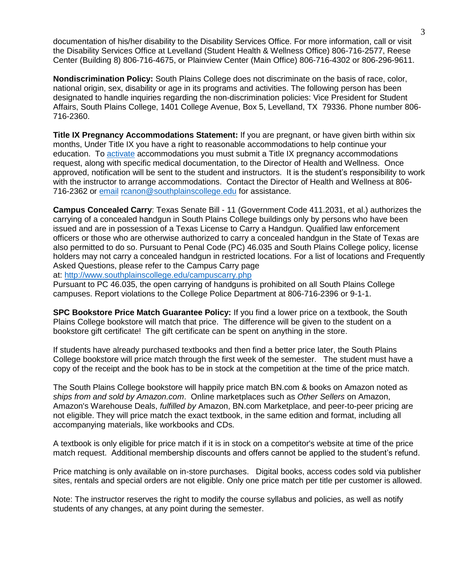documentation of his/her disability to the Disability Services Office. For more information, call or visit the Disability Services Office at Levelland (Student Health & Wellness Office) 806-716-2577, Reese Center (Building 8) 806-716-4675, or Plainview Center (Main Office) 806-716-4302 or 806-296-9611.

**Nondiscrimination Policy:** South Plains College does not discriminate on the basis of race, color, national origin, sex, disability or age in its programs and activities. The following person has been designated to handle inquiries regarding the non-discrimination policies: Vice President for Student Affairs, South Plains College, 1401 College Avenue, Box 5, Levelland, TX 79336. Phone number 806- 716-2360.

**Title IX Pregnancy Accommodations Statement:** If you are pregnant, or have given birth within six months, Under Title IX you have a right to reasonable accommodations to help continue your education. To [activate](http://www.southplainscollege.edu/employees/manualshandbooks/facultyhandbook/sec4.php) accommodations you must submit a Title IX pregnancy accommodations request, along with specific medical documentation, to the Director of Health and Wellness. Once approved, notification will be sent to the student and instructors. It is the student's responsibility to work with the instructor to arrange accommodations. Contact the Director of Health and Wellness at 806- 716-2362 or [email](http://www.southplainscollege.edu/employees/manualshandbooks/facultyhandbook/sec4.php) [rcanon@southplainscollege.edu](mailto:rcanon@southplainscollege.edu) for assistance.

**Campus Concealed Carry**: Texas Senate Bill - 11 (Government Code 411.2031, et al.) authorizes the carrying of a concealed handgun in South Plains College buildings only by persons who have been issued and are in possession of a Texas License to Carry a Handgun. Qualified law enforcement officers or those who are otherwise authorized to carry a concealed handgun in the State of Texas are also permitted to do so. Pursuant to Penal Code (PC) 46.035 and South Plains College policy, license holders may not carry a concealed handgun in restricted locations. For a list of locations and Frequently Asked Questions, please refer to the Campus Carry page

at: <http://www.southplainscollege.edu/campuscarry.php>

Pursuant to PC 46.035, the open carrying of handguns is prohibited on all South Plains College campuses. Report violations to the College Police Department at 806-716-2396 or 9-1-1.

**SPC Bookstore Price Match Guarantee Policy:** If you find a lower price on a textbook, the South Plains College bookstore will match that price. The difference will be given to the student on a bookstore gift certificate! The gift certificate can be spent on anything in the store.

If students have already purchased textbooks and then find a better price later, the South Plains College bookstore will price match through the first week of the semester. The student must have a copy of the receipt and the book has to be in stock at the competition at the time of the price match.

The South Plains College bookstore will happily price match BN.com & books on Amazon noted as *ships from and sold by Amazon.com*. Online marketplaces such as *Other Sellers* on Amazon, Amazon's Warehouse Deals, *fulfilled by* Amazon, BN.com Marketplace, and peer-to-peer pricing are not eligible. They will price match the exact textbook, in the same edition and format, including all accompanying materials, like workbooks and CDs.

A textbook is only eligible for price match if it is in stock on a competitor's website at time of the price match request. Additional membership discounts and offers cannot be applied to the student's refund.

Price matching is only available on in-store purchases. Digital books, access codes sold via publisher sites, rentals and special orders are not eligible. Only one price match per title per customer is allowed.

Note: The instructor reserves the right to modify the course syllabus and policies, as well as notify students of any changes, at any point during the semester.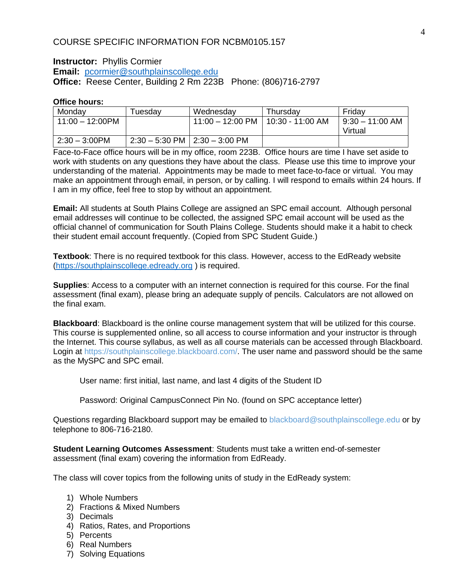# COURSE SPECIFIC INFORMATION FOR NCBM0105.157

### **Instructor:** Phyllis Cormier **Email:** [pcormier@southplainscollege.edu](mailto:pcormier@southplainscollege.edu) **Office:** Reese Center, Building 2 Rm 223B Phone: (806)716-2797

### **Office hours:**

| Monday                  | ⊺uesdav | Wednesday                               | Thursdav | Friday            |
|-------------------------|---------|-----------------------------------------|----------|-------------------|
| 11:00 - 12:00PM         |         | 11:00 - 12:00 PM   10:30 - 11:00 AM     |          | $9:30 - 11:00$ AM |
|                         |         |                                         |          | Virtual           |
| $2:30 - 3:00 \text{PM}$ |         | $2:30 - 5:30$ PM $\vert$ 2:30 - 3:00 PM |          |                   |

Face-to-Face office hours will be in my office, room 223B. Office hours are time I have set aside to work with students on any questions they have about the class. Please use this time to improve your understanding of the material. Appointments may be made to meet face-to-face or virtual. You may make an appointment through email, in person, or by calling. I will respond to emails within 24 hours. If I am in my office, feel free to stop by without an appointment.

**Email:** All students at South Plains College are assigned an SPC email account. Although personal email addresses will continue to be collected, the assigned SPC email account will be used as the official channel of communication for South Plains College. Students should make it a habit to check their student email account frequently. (Copied from SPC Student Guide.)

**Textbook**: There is no required textbook for this class. However, access to the EdReady website [\(https://southplainscollege.edready.org](https://southplainscollege.edready.org/) ) is required.

**Supplies**: Access to a computer with an internet connection is required for this course. For the final assessment (final exam), please bring an adequate supply of pencils. Calculators are not allowed on the final exam.

**Blackboard**: Blackboard is the online course management system that will be utilized for this course. This course is supplemented online, so all access to course information and your instructor is through the Internet. This course syllabus, as well as all course materials can be accessed through Blackboard. Login at https://southplainscollege.blackboard.com/. The user name and password should be the same as the MySPC and SPC email.

User name: first initial, last name, and last 4 digits of the Student ID

Password: Original CampusConnect Pin No. (found on SPC acceptance letter)

Questions regarding Blackboard support may be emailed to blackboard@southplainscollege.edu or by telephone to 806-716-2180.

**Student Learning Outcomes Assessment**: Students must take a written end-of-semester assessment (final exam) covering the information from EdReady.

The class will cover topics from the following units of study in the EdReady system:

- 1) Whole Numbers
- 2) Fractions & Mixed Numbers
- 3) Decimals
- 4) Ratios, Rates, and Proportions
- 5) Percents
- 6) Real Numbers
- 7) Solving Equations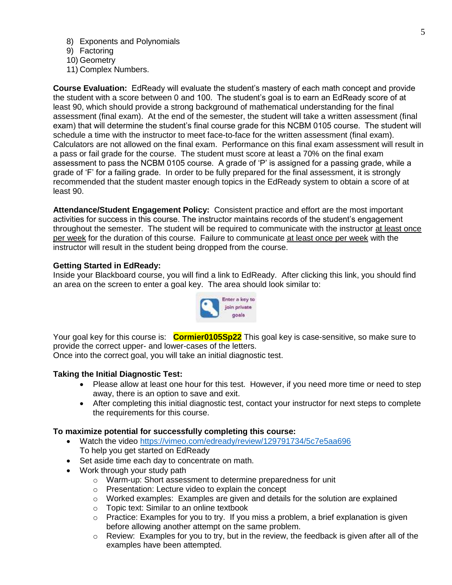- 8) Exponents and Polynomials
- 9) Factoring
- 10) Geometry
- 11) Complex Numbers.

**Course Evaluation:** EdReady will evaluate the student's mastery of each math concept and provide the student with a score between 0 and 100. The student's goal is to earn an EdReady score of at least 90, which should provide a strong background of mathematical understanding for the final assessment (final exam). At the end of the semester, the student will take a written assessment (final exam) that will determine the student's final course grade for this NCBM 0105 course. The student will schedule a time with the instructor to meet face-to-face for the written assessment (final exam). Calculators are not allowed on the final exam. Performance on this final exam assessment will result in a pass or fail grade for the course. The student must score at least a 70% on the final exam assessment to pass the NCBM 0105 course. A grade of 'P' is assigned for a passing grade, while a grade of 'F' for a failing grade. In order to be fully prepared for the final assessment, it is strongly recommended that the student master enough topics in the EdReady system to obtain a score of at least 90.

**Attendance/Student Engagement Policy:** Consistent practice and effort are the most important activities for success in this course. The instructor maintains records of the student's engagement throughout the semester. The student will be required to communicate with the instructor at least once per week for the duration of this course. Failure to communicate at least once per week with the instructor will result in the student being dropped from the course.

### **Getting Started in EdReady:**

Inside your Blackboard course, you will find a link to EdReady. After clicking this link, you should find an area on the screen to enter a goal key. The area should look similar to:



Your goal key for this course is: **Cormier0105Sp22** This goal key is case-sensitive, so make sure to provide the correct upper- and lower-cases of the letters.

Once into the correct goal, you will take an initial diagnostic test.

#### **Taking the Initial Diagnostic Test:**

- Please allow at least one hour for this test. However, if you need more time or need to step away, there is an option to save and exit.
- After completing this initial diagnostic test, contact your instructor for next steps to complete the requirements for this course.

### **To maximize potential for successfully completing this course:**

- Watch the video<https://vimeo.com/edready/review/129791734/5c7e5aa696> To help you get started on EdReady
- Set aside time each day to concentrate on math.
- Work through your study path
	- o Warm-up: Short assessment to determine preparedness for unit
	- o Presentation: Lecture video to explain the concept
	- $\circ$  Worked examples: Examples are given and details for the solution are explained
	- o Topic text: Similar to an online textbook
	- $\circ$  Practice: Examples for you to try. If you miss a problem, a brief explanation is given before allowing another attempt on the same problem.
	- $\circ$  Review: Examples for you to try, but in the review, the feedback is given after all of the examples have been attempted.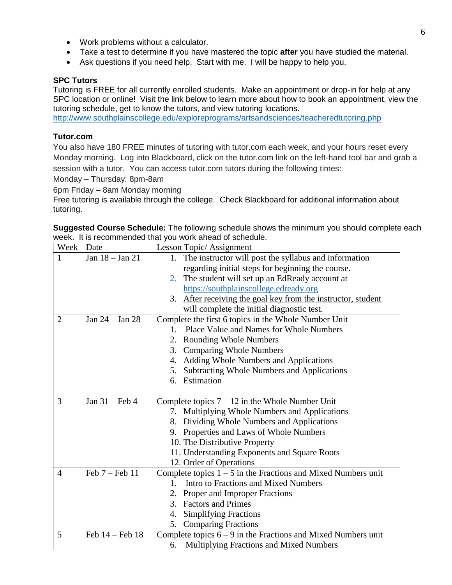- Work problems without a calculator.
- Take a test to determine if you have mastered the topic **after** you have studied the material.
- Ask questions if you need help. Start with me. I will be happy to help you.

## **SPC Tutors**

Tutoring is FREE for all currently enrolled students. Make an appointment or drop-in for help at any SPC location or online! Visit the link below to learn more about how to book an appointment, view the tutoring schedule, get to know the tutors, and view tutoring locations.

<http://www.southplainscollege.edu/exploreprograms/artsandsciences/teacheredtutoring.php>

## **Tutor.com**

You also have 180 FREE minutes of tutoring with tutor.com each week, and your hours reset every Monday morning. Log into Blackboard, click on the tutor.com link on the left-hand tool bar and grab a session with a tutor. You can access tutor.com tutors during the following times:

Monday – Thursday: 8pm-8am

6pm Friday – 8am Monday morning

Free tutoring is available through the college. Check Blackboard for additional information about tutoring.

**Suggested Course Schedule:** The following schedule shows the minimum you should complete each week. It is recommended that you work ahead of schedule.

| Week           | Date                | Lesson Topic/Assignment                                                                                    |
|----------------|---------------------|------------------------------------------------------------------------------------------------------------|
| 1              | Jan 18 - Jan 21     | The instructor will post the syllabus and information<br>1.                                                |
|                |                     | regarding initial steps for beginning the course.                                                          |
|                |                     | The student will set up an EdReady account at<br>2.                                                        |
|                |                     | https://southplainscollege.edready.org                                                                     |
|                |                     | 3. After receiving the goal key from the instructor, student                                               |
|                |                     | will complete the initial diagnostic test.                                                                 |
| $\overline{2}$ | Jan 24 - Jan 28     | Complete the first 6 topics in the Whole Number Unit                                                       |
|                |                     | Place Value and Names for Whole Numbers<br>$1_{-}$                                                         |
|                |                     | 2. Rounding Whole Numbers                                                                                  |
|                |                     | 3.<br><b>Comparing Whole Numbers</b>                                                                       |
|                |                     | 4. Adding Whole Numbers and Applications                                                                   |
|                |                     | 5. Subtracting Whole Numbers and Applications                                                              |
|                |                     | 6. Estimation                                                                                              |
|                |                     |                                                                                                            |
| 3              | Jan $31$ – Feb 4    | Complete topics $7 - 12$ in the Whole Number Unit                                                          |
|                |                     |                                                                                                            |
|                |                     | 7. Multiplying Whole Numbers and Applications                                                              |
|                |                     | 8. Dividing Whole Numbers and Applications                                                                 |
|                |                     | Properties and Laws of Whole Numbers<br>9.                                                                 |
|                |                     | 10. The Distributive Property                                                                              |
|                |                     | 11. Understanding Exponents and Square Roots                                                               |
|                |                     | 12. Order of Operations                                                                                    |
| $\overline{4}$ | Feb 7 - Feb 11      | Complete topics $1 - 5$ in the Fractions and Mixed Numbers unit                                            |
|                |                     | Intro to Fractions and Mixed Numbers<br>$1_{-}$                                                            |
|                |                     | Proper and Improper Fractions<br>2.                                                                        |
|                |                     | <b>Factors and Primes</b><br>3 <sub>1</sub>                                                                |
|                |                     | <b>Simplifying Fractions</b><br>4.                                                                         |
|                |                     | <b>Comparing Fractions</b><br>5.                                                                           |
| 5              | Feb $14$ – Feb $18$ | Complete topics $6 - 9$ in the Fractions and Mixed Numbers unit<br>Multiplying Fractions and Mixed Numbers |